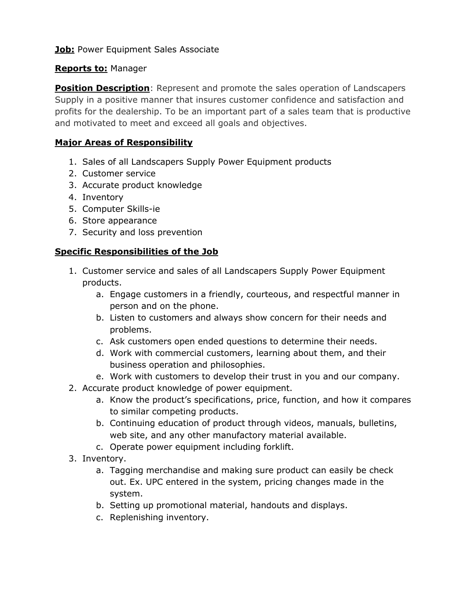**Job:** Power Equipment Sales Associate

## **Reports to:** Manager

**Position Description**: Represent and promote the sales operation of Landscapers Supply in a positive manner that insures customer confidence and satisfaction and profits for the dealership. To be an important part of a sales team that is productive and motivated to meet and exceed all goals and objectives.

# **Major Areas of Responsibility**

- 1. Sales of all Landscapers Supply Power Equipment products
- 2. Customer service
- 3. Accurate product knowledge
- 4. Inventory
- 5. Computer Skills-ie
- 6. Store appearance
- 7. Security and loss prevention

## **Specific Responsibilities of the Job**

- 1. Customer service and sales of all Landscapers Supply Power Equipment products.
	- a. Engage customers in a friendly, courteous, and respectful manner in person and on the phone.
	- b. Listen to customers and always show concern for their needs and problems.
	- c. Ask customers open ended questions to determine their needs.
	- d. Work with commercial customers, learning about them, and their business operation and philosophies.
	- e. Work with customers to develop their trust in you and our company.
- 2. Accurate product knowledge of power equipment.
	- a. Know the product's specifications, price, function, and how it compares to similar competing products.
	- b. Continuing education of product through videos, manuals, bulletins, web site, and any other manufactory material available.
	- c. Operate power equipment including forklift.
- 3. Inventory.
	- a. Tagging merchandise and making sure product can easily be check out. Ex. UPC entered in the system, pricing changes made in the system.
	- b. Setting up promotional material, handouts and displays.
	- c. Replenishing inventory.